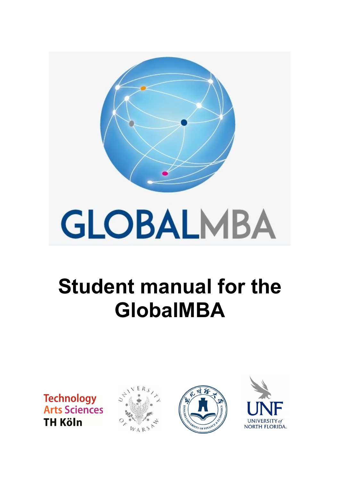

# **GlobalMBA Student manual for the**

**Technology Arts Science TH Köln** 





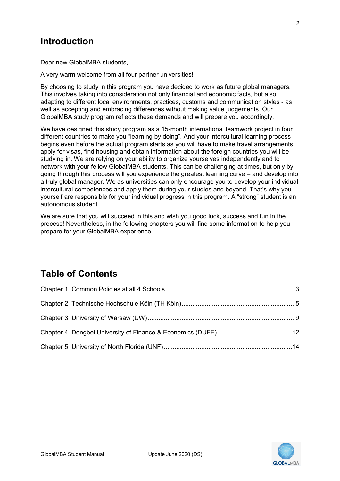## **Introduction**

Dear new GlobalMBA students,

A very warm welcome from all four partner universities!

 This involves taking into consideration not only financial and economic facts, but also GlobalMBA study program reflects these demands and will prepare you accordingly. By choosing to study in this program you have decided to work as future global managers. adapting to different local environments, practices, customs and communication styles - as well as accepting and embracing differences without making value judgements. Our

 We have designed this study program as a 15-month international teamwork project in four apply for visas, find housing and obtain information about the foreign countries you will be network with your fellow GlobalMBA students. This can be challenging at times, but only by a truly global manager. We as universities can only encourage you to develop your individual different countries to make you "learning by doing". And your intercultural learning process begins even before the actual program starts as you will have to make travel arrangements, studying in. We are relying on your ability to organize yourselves independently and to going through this process will you experience the greatest learning curve – and develop into intercultural competences and apply them during your studies and beyond. That's why you yourself are responsible for your individual progress in this program. A "strong" student is an autonomous student.

 process! Nevertheless, in the following chapters you will find some information to help you We are sure that you will succeed in this and wish you good luck, success and fun in the prepare for your GlobalMBA experience.

## **Table of Contents**

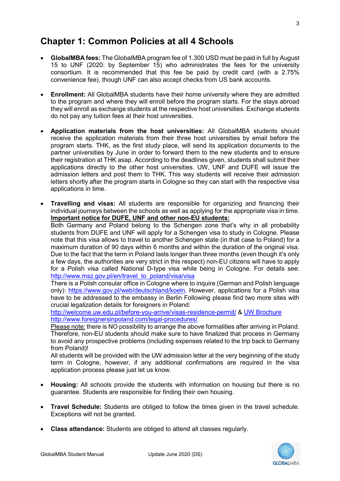## <span id="page-2-0"></span>**Chapter 1: Common Policies at all 4 Schools**

- **GlobalMBA fees:** The GlobalMBA program fee of 1.300 USD must be paid in full by August 15 to UNF (2020: by September 15) who administrates the fees for the university consortium. It is recommended that this fee be paid by credit card (with a 2.75% convenience fee), though UNF can also accept checks from US bank accounts.
- **Enrollment:** All GlobalMBA students have their home university where they are admitted to the program and where they will enroll before the program starts. For the stays abroad they will enroll as exchange students at the respective host universities. Exchange students do not pay any tuition fees at their host universities.
- **Application materials from the host universities:** All GlobalMBA students should receive the application materials from their three host universities by email before the program starts. THK, as the first study place, will send its application documents to the partner universities by June in order to forward them to the new students and to ensure their registration at THK asap. According to the deadlines given, students shall submit their applications directly to the other host universities. UW, UNF and DUFE will issue the admission letters and post them to THK. This way students will receive their admission letters shortly after the program starts in Cologne so they can start with the respective visa applications in time.
- individual journeys between the schools as well as applying for the appropriate visa in time.  **Important notice for DUFE, UNF and other non-EU students:** • **Travelling and visas:** All students are responsible for organizing and financing their

 students from DUFE and UNF will apply for a Schengen visa to study in Cologne. Please note that this visa allows to travel to another Schengen state (in that case to Poland) for a maximum duration of 90 days within 6 months and within the duration of the original visa. for a Polish visa called National D-type visa while being in Cologne. For details see: http://www.msz.gov.pl/en/travel to poland/visa/visa Both Germany and Poland belong to the Schengen zone that's why in all probability Due to the fact that the term in Poland lasts longer than three months (even though it's only a few days, the authorities are very strict in this respect) non-EU citizens will have to apply

<u>http://www.msz.gov.pl/en/travel\_to\_poland/visa/visa</u><br>There is a Polish consular office in Cologne where to inquire (German and Polish language only): <u>https://www.gov.pl/web/deutschland/koeln</u>. However, applications for a Polish visa crucial legalization details for foreigners in Poland: have to be addressed to the embassy in Berlin Following please find two more sites with

http://www.foreignersinpoland.com/legal-procedures/ <http://welcome.uw.edu.pl/before-you-arrive/visas-residence-permit/>& [UW Brochure](http://welcome.uw.edu.pl/content/uploads/2019/01/legalization-2018-v10.pdf) 

Please note: there is NO possibility to arrange the above formalities after arriving in Poland. Therefore, non-EU students should make sure to have finalized that process in Germany to avoid any prospective problems (including expenses related to the trip back to Germany from Poland)!

All students will be provided with the UW admission letter at the very beginning of the study term in Cologne, however, if any additional confirmations are required in the visa application process please just let us know.

- **Housing:** All schools provide the students with information on housing but there is no guarantee. Students are responsible for finding their own housing.
- **Travel Schedule:** Students are obliged to follow the times given in the travel schedule. Exceptions will not be granted.
- **Class attendance:** Students are obliged to attend all classes regularly.

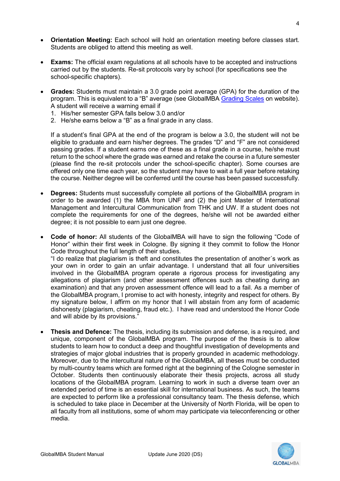- **Orientation Meeting:** Each school will hold an orientation meeting before classes start. Students are obliged to attend this meeting as well.
- **Exams:** The official exam regulations at all schools have to be accepted and instructions carried out by the students. Re-sit protocols vary by school (for specifications see the school-specific chapters).
- **Grades:** Students must maintain a 3.0 grade point average (GPA) for the duration of the program. This is equivalent to a "B" average (see GlobalMBA [Grading Scales](http://www.unf.edu/coggin/International_Business_Flagship/globalmba/Grades.aspx) on website). A student will receive a warning email if
	- 1. His/her semester GPA falls below 3.0 and/or
	- 2. He/she earns below a "B" as a final grade in any class.

 If a student's final GPA at the end of the program is below a 3.0, the student will not be passing grades. If a student earns one of these as a final grade in a course, he/she must (please find the re-sit protocols under the school-specific chapter). Some courses are eligible to graduate and earn his/her degrees. The grades "D" and "F" are not considered return to the school where the grade was earned and retake the course in a future semester offered only one time each year, so the student may have to wait a full year before retaking the course. Neither degree will be conferred until the course has been passed successfully.

- **Degrees:** Students must successfully complete all portions of the GlobalMBA program in order to be awarded (1) the MBA from UNF and (2) the joint Master of International Management and Intercultural Communication from THK and UW. If a student does not complete the requirements for one of the degrees, he/she will not be awarded either degree; it is not possible to earn just one degree.
- **Code of honor:** All students of the GlobalMBA will have to sign the following "Code of Honor" within their first week in Cologne. By signing it they commit to follow the Honor Code throughout the full length of their studies.

"I do realize that plagiarism is theft and constitutes the presentation of another´s work as your own in order to gain an unfair advantage. I understand that all four universities involved in the GlobalMBA program operate a rigorous process for investigating any allegations of plagiarism (and other assessment offences such as cheating during an examination) and that any proven assessment offence will lead to a fail. As a member of the GlobalMBA program, I promise to act with honesty, integrity and respect for others. By my signature below, I affirm on my honor that I will abstain from any form of academic dishonesty (plagiarism, cheating, fraud etc.). I have read and understood the Honor Code and will abide by its provisions."

• **Thesis and Defence:** The thesis, including its submission and defense, is a required, and unique, component of the GlobalMBA program. The purpose of the thesis is to allow students to learn how to conduct a deep and thoughtful investigation of developments and strategies of major global industries that is properly grounded in academic methodology. Moreover, due to the intercultural nature of the GlobalMBA, all theses must be conducted by multi-country teams which are formed right at the beginning of the Cologne semester in October. Students then continuously elaborate their thesis projects, across all study locations of the GlobalMBA program. Learning to work in such a diverse team over an extended period of time is an essential skill for international business. As such, the teams are expected to perform like a professional consultancy team. The thesis defense, which is scheduled to take place in December at the University of North Florida, will be open to all faculty from all institutions, some of whom may participate via teleconferencing or other media.

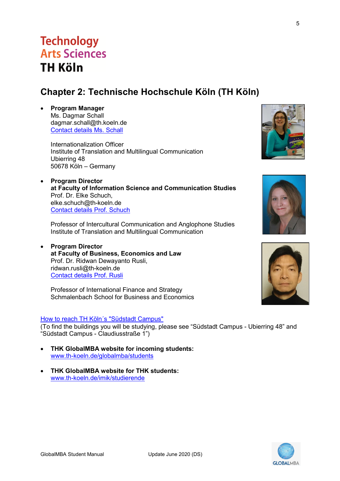## 5

## <span id="page-4-0"></span>**Chapter 2: Technische Hochschule Köln (TH Köln)**

• **Program Manager** Ms. Dagmar Schall dagmar.schall@th.koeln.de [Contact details Ms. Schall](https://www.th-koeln.de/personen/dagmar.schall/)

**Technology** 

**TH Koln** 

Arts Sciences

 Internationalization Officer 50678 Köln – Germany Institute of Translation and Multilingual Communication Ubierring 48

• **Program Director at Faculty of Information Science and Communication Studies** Prof. Dr. Elke Schuch, [elke.schuch@th-koeln.de](mailto:elke.schuch@th-koeln.de) [Contact details Prof. Schuch](https://www.th-koeln.de/personen/elke.schuch/)

Professor of Intercultural Communication and Anglophone Studies Institute of Translation and Multilingual Communication

• **Program Director at Faculty of Business, Economics and Law** Prof. Dr. Ridwan Dewayanto Rusli, [ridwan.rusli@th-koeln.de](mailto:ridwan.rusli@th-koeln.de) [Contact details Prof. Rusli](https://www.th-koeln.de/personen/ridwan.rusli/)

Professor of International Finance and Strategy Schmalenbach School for Business and Economics

#### How to reach TH Köln's "Südstadt Campus"

(To find the buildings you will be studying, please see "Südstadt Campus - Ubierring 48" and "Südstadt Campus - Claudiusstraße 1")

- **THK GlobalMBA website for incoming students:**  [www.th-koeln.de/globalmba/students](https://www.th-koeln.de/globalmba/students)
- **THK GlobalMBA website for THK students:**  [www.th-koeln.de/imik/studierende](http://www.th-koeln.de/imik/studierende)







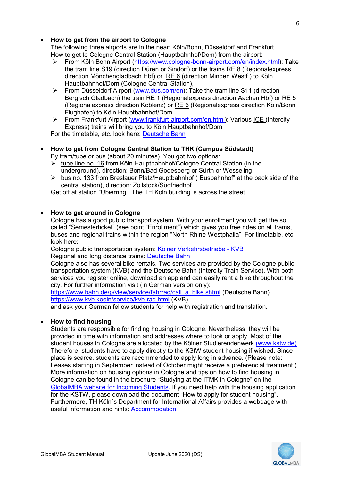#### • **How to get from the airport to Cologne**

 The following three airports are in the near: Köln/Bonn, Düsseldorf and Frankfurt. How to get to Cologne Central Station (Hauptbahnhof/Dom) from the airport:

- From Köln Bonn Airport [\(https://www.cologne-bonn-airport.com/en/index.html\)](https://www.cologne-bonn-airport.com/en/index.html): Take the tram line S19 (direction Düren or Sindorf) or the trains RE 8 (Regionalexpress direction Mönchengladbach Hbf) or RE 6 (direction Minden Westf.) to Köln Hauptbahnhof/Dom (Cologne Central Station),
- $\blacktriangleright$  From Düsseldorf Airport [\(www.dus.com/en\)](https://www.dus.com/en): Take the tram line S11 (direction Bergisch Gladbach) the train RE 1 (Regionalexpress direction Aachen Hbf) or RE 5 (Regionalexpress direction Koblenz) or RE 6 (Regionalexpress direction Köln/Bonn Flughafen) to Köln Hauptbahnhof/Dom
- From Frankfurt Airport [\(www.frankfurt-airport.com/en.html\)](https://www.frankfurt-airport.com/en.html): Various ICE (Intercity-Express) trains will bring you to Köln Hauptbahnhof/Dom

For the timetable, etc. look here: [Deutsche Bahn](https://www.bahn.com/en/view/index.shtml) 

• **How to get from Cologne Central Station to THK (Campus Südstadt)**

By tram/tube or bus (about 20 minutes). You got two options:

- tube line no. 16 from Köln Hauptbahnhof/Cologne Central Station (in the underground), direction: Bonn/Bad Godesberg or Sürth or Wesseling
- $\triangleright$  bus no. 133 from Breslauer Platz/Hauptbahnhof ("Busbahnhof" at the back side of the central station), direction: Zollstock/Südfriedhof.

Get off at station "Ubierring". The TH Köln building is across the street.

#### • **How to get around in Cologne**

 Cologne has a good public transport system. With your enrollment you will get the so called "Semesterticket" (see point "Enrollment") which gives you free rides on all trams, buses and regional trains within the region "North Rhine-Westphalia". For timetable, etc. look here:

Cologne public transportation system: <u>Kölner Verkehrsbetriebe - KVB</u><br>Regional and long distance trains: <u>Deutsche Bahn</u>

 transportation system (KVB) and the Deutsche Bahn (Intercity Train Service). With both Cologne also has several bike rentals. Two services are provided by the Cologne public services you register online, download an app and can easily rent a bike throughout the city. For further information visit (in German version only):

 <https://www.kvb.koeln/service/kvb-rad.html>(KVB) [https://www.bahn.de/p/view/service/fahrrad/call\\_a\\_bike.shtml](https://www.bahn.de/p/view/service/fahrrad/call_a_bike.shtml) (Deutsche Bahn)

and ask your German fellow students for help with registration and translation.

#### • **How to find housing**

 Furthermore, TH Köln´s Department for International Affairs provides a webpage with Students are responsible for finding housing in Cologne. Nevertheless, they will be provided in time with information and addresses where to look or apply. Most of the student houses in Cologne are allocated by the Kölner Studierendenwerk [\(www.kstw.de\).](https://www.kstw.de/wohnen) Therefore, students have to apply directly to the KStW student housing if wished. Since place is scarce, students are recommended to apply long in advance. (Please note: Leases starting in September instead of October might receive a preferencial treatment.) More information on housing options in Cologne and tips on how to find housing in Cologne can be found in the brochure "Studying at the ITMK in Cologne" on the [GlobalMBA website for Incoming Students.](https://www.th-koeln.de/globalmba/students) If you need help with the housing application for the KSTW, please download the document "How to apply for student housing". useful information and hints: [Accommodation](https://www.th-koeln.de/en/international_office/accommodation_54136.php) 

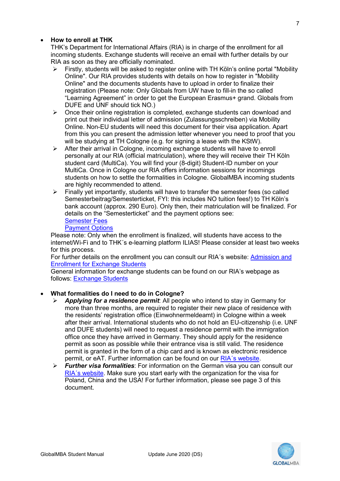#### • **How to enroll at THK**

 THK's Department for International Affairs (RIA) is in charge of the enrollment for all RIA as soon as they are officially nominated. incoming students. Exchange students will receive an email with further details by our

- Firstly, students will be asked to register online with TH Köln's online portal "Mobility Online". Our RIA provides students with details on how to register in "Mobility Online" and the documents students have to upload in order to finalize their registration (Please note: Only Globals from UW have to fill-in the so called "Learning Agreement" in order to get the European Erasmus+ grand. Globals from DUFE and UNF should tick NO.)
- $\triangleright$  Once their online registration is completed, exchange students can download and print out their individual letter of admission (Zulassungsschreiben) via Mobility Online. Non-EU students will need this document for their visa application. Apart from this you can present the admission letter whenever you need to proof that you will be studying at TH Cologne (e.g. for signing a lease with the KStW).
- $\triangleright$  After their arrival in Cologne, incoming exchange students will have to enroll personally at our RIA (official matriculation), where they will receive their TH Köln student card (MultiCa). You will find your (8-digit) Student-ID number on your MultiCa. Once in Cologne our RIA offers information sessions for incomings students on how to settle the formalities in Cologne. GlobalMBA incoming students are highly recommended to attend.
- $\triangleright$  Finally yet importantly, students will have to transfer the semester fees (so called Semesterbeitrag/Semesterticket, FYI: this includes NO tuition fees!) to TH Köln's bank account (approx. 290 Euro). Only then, their matriculation will be finalized. For details on the "Semesterticket" and the payment options see: [Semester Fees](https://www.th-koeln.de/en/academics/fees_5908.php)

### [Payment Options](https://www.th-koeln.de/en/academics/re-registration-and-fees_5903.php#sprungmarke_1_14)

 internet/Wi-Fi and to THK´s e-learning platform ILIAS! Please consider at least two weeks Please note: Only when the enrollment is finalized, will students have access to the for this process.

For further details on the enrollment you can consult our RIA´s website: [Admission and](https://www.th-koeln.de/en/international_office/admission-and-enrollment-for-exchange-students_48872.php)  [Enrollment for Exchange Students](https://www.th-koeln.de/en/international_office/admission-and-enrollment-for-exchange-students_48872.php) 

General information for exchange students can be found on our RIA's webpage as follows: [Exchange Students](https://www.th-koeln.de/en/international_office/exchange-students_21380.php) 

#### • **What formalities do I need to do in Cologne?**

- *Applying for a residence permit*: All people who intend to stay in Germany for more than three months, are required to register their new place of residence with the residents' registration office (Einwohnermeldeamt) in Cologne within a week after their arrival. International students who do not hold an EU-citizenship (i.e. UNF and DUFE students) will need to request a residence permit with the immigration office once they have arrived in Germany. They should apply for the residence permit as soon as possible while their entrance visa is still valid. The residence permit is granted in the form of a chip card and is known as electronic residence permit, or eAT. Further information can be found on our [RIA´s website.](https://www.th-koeln.de/en/international_office/after-your-arrival_50346.php)
- Poland, China and the USA! For further information, please see page 3 of this *Further visa formalities*: For information on the German visa you can consult our [RIA´s website.](https://www.th-koeln.de/en/international_office/visa_66058.php) Make sure you start early with the organization for the visa for document.

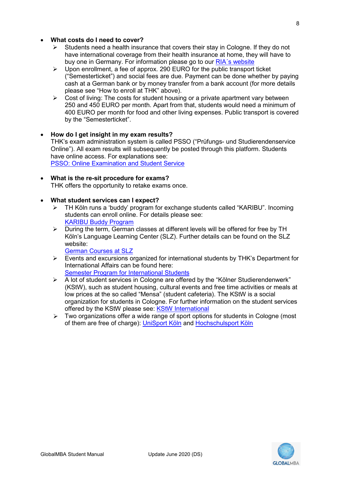#### • **What costs do I need to cover?**

- $\triangleright$  Students need a health insurance that covers their stay in Cologne. If they do not have international coverage from their health insurance at home, they will have to buy one in Germany. For information please go to our [RIA´s website](https://www.th-koeln.de/en/international_office/health-insurance-for-international-students_66064.php)
- $\triangleright$  Upon enrollment, a fee of approx. 290 EURO for the public transport ticket ("Semesterticket") and social fees are due. Payment can be done whether by paying cash at a German bank or by money transfer from a bank account (for more details please see "How to enroll at THK" above).
- $\triangleright$  Cost of living: The costs for student housing or a private apartment vary between 250 and 450 EURO per month. Apart from that, students would need a minimum of 400 EURO per month for food and other living expenses. Public transport is covered by the "Semesterticket".
- **How do I get insight in my exam results?** THK's exam administration system is called PSSO ("Prüfungs- und Studierendenservice Online"). All exam results will subsequently be posted through this platform. Students have online access. For explanations see: **[PSSO: Online Examination and Student Service](https://www.th-koeln.de/en/academics/online-examination-and-student-services-psso_5918.php)**
- **What is the re-sit procedure for exams?** THK offers the opportunity to retake exams once.
- **What student services can I expect?**
	- TH Köln runs a 'buddy' program for exchange students called "KARIBU". Incoming students can enroll online. For details please see: [KARIBU Buddy Program](https://www.th-koeln.de/en/international_office/karibu-buddy-program_66144.php)
	- $\triangleright$  During the term, German classes at different levels will be offered for free by TH Köln's Language Learning Center (SLZ). Further details can be found on the SLZ website:

[German Courses at SLZ](https://www.th-koeln.de/en/international_office/german-courses_48874.php)

- $\triangleright$  Events and excursions organized for international students by THK's Department for International Affairs can be found here: [Semester Program for International Students](https://www.th-koeln.de/en/international_office/semester-program-of-the-department-of-international-affairs_66133.php)
- $\triangleright$  A lot of student services in Cologne are offered by the "Kölner Studierendenwerk" (KStW), such as student housing, cultural events and free time activities or meals at low prices at the so called "Mensa" (student cafeteria). The KStW is a social organization for students in Cologne. For further information on the student services offered by the KStW please see: [KStW International](https://www.kstw.de/internationales)
- $\triangleright$  Two organizations offer a wide range of sport options for students in Cologne (most of them are free of charge): [UniSport Köln](http://unisport.koeln/index_eng.html) and [Hochschulsport Köln](http://www.hochschulsport-koeln.de/en)

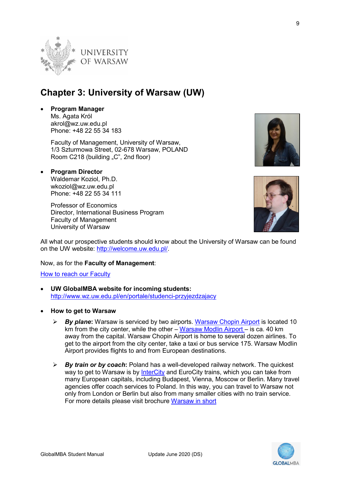

## <span id="page-8-0"></span> **Chapter 3: University of Warsaw (UW)**

 Phone: +48 22 55 34 183 • **Program Manager** Ms. Agata Król akrol@wz.uw.edu.pl

> Faculty of Management, University of Warsaw, 1/3 Szturmowa Street, 02-678 Warsaw, POLAND Room C218 (building "C", 2nd floor)

• **Program Director** Waldemar Koziol, Ph.D. wkoziol@wz.uw.edu.pl Phone: +48 22 55 34 111

> University of Warsaw Professor of Economics Director, International Business Program Faculty of Management



All what our prospective students should know about the University of Warsaw can be found on the UW website: [http://welcome.uw.edu.pl/.](http://welcome.uw.edu.pl/)

Now, as for the **Faculty of Management**:

**How to reach our Faculty** 

- **UW GlobalMBA website for incoming students:** <http://www.wz.uw.edu.pl/en/portale/studenci-przyjezdzajacy>
- **How to get to Warsaw**
	- km from the city center, while the other <u>Warsaw Modlin Airport –</u> is ca. 40 km get to the airport from the city center, take a taxi or bus service 175. Warsaw Modlin Airport provides flights to and from European destinations. *By plane***:** Warsaw is serviced by two airports. [Warsaw Chopin Airport](http://www.lotnisko-chopina.pl/en/index.html) is located 10 away from the capital. Warsaw Chopin Airport is home to several dozen airlines. To
	- way to get to Warsaw is by <u>InterCity</u> and EuroCity trains, which you can take from only from London or Berlin but also from many smaller cities with no train service. *By train or by coach***:** Poland has a well-developed railway network. The quickest many European capitals, including Budapest, Vienna, Moscow or Berlin. Many travel agencies offer coach services to Poland. In this way, you can travel to Warsaw not For more details please visit brochure [Warsaw in short](http://www.wz.uw.edu.pl/en/portale/studenci-przyjezdzajacy/artykul/10967/how-to-survive-in-poland-some-practical-directions)

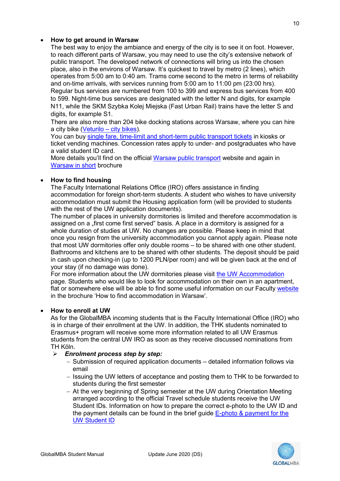#### • **How to get around in Warsaw**

 The best way to enjoy the ambiance and energy of the city is to see it on foot. However, place, also in the environs of Warsaw. It's quickest to travel by metro (2 lines), which operates from 5:00 am to 0:40 am. Trams come second to the metro in terms of reliability Regular bus services are numbered from 100 to 399 and express bus services from 400 to reach different parts of Warsaw, you may need to use the city's extensive network of public transport. The developed network of connections will bring us into the chosen and on-time arrivals, with services running from 5:00 am to 11:00 pm (23:00 hrs). to 599. Night-time bus services are designated with the letter N and digits, for example N11, while the SKM Szybka Kolej Miejska (Fast Urban Rail) trains have the letter S and digits, for example S1.

 There are also more than 204 bike docking stations across Warsaw, where you can hire a city bike [\(Veturilo – city bikes\)](https://en.veturilo.waw.pl/).

You can buy [single fare, time-limit and short-term public transport tickets](http://www.ztm.waw.pl/?c=110&l=2) in kiosks or ticket vending machines. Concession rates apply to under- and postgraduates who have a valid student ID card.

<u>Warsaw in short</u> brochure More details you'll find on the official [Warsaw public transport](http://www.ztm.waw.pl/?l=2) website and again in

#### • **How to find housing**

 accommodation must submit the Housing application form (will be provided to students with the rest of the UW application documents). The Faculty International Relations Office (IRO) offers assistance in finding accommodation for foreign short-term students. A student who wishes to have university

assigned on a "first come first served" basis. A place in a dormitory is assigned for a Bathrooms and kitchens are to be shared with other students. The deposit should be paid your stay (if no damage was done). The number of places in university dormitories is limited and therefore accommodation is whole duration of studies at UW. No changes are possible. Please keep in mind that once you resign from the university accommodation you cannot apply again. Please note that most UW dormitories offer only double rooms – to be shared with one other student. in cash upon checking-in (up to 1200 PLN/per room) and will be given back at the end of

For more information about the UW dormitories please visit the UW Accommodation flat or somewhere else will be able to find some useful information on our Faculty <u>website</u><br>in the brochure 'How to find accommodation in Warsaw'. in the brochure 'How to find accommodation in Warsaw' page. Students who would like to look for accommodation on their own in an apartment,

#### • **How to enroll at UW**

 As for the GlobalMBA incoming students that is the Faculty International Office (IRO) who is in charge of their enrollment at the UW. In addition, the THK students nominated to Erasmus+ program will receive some more information related to all UW Erasmus students from the central UW IRO as soon as they receive discussed nominations from TH Köln.

#### *Enrolment process step by step:*

- − Submission of required application documents detailed information follows via email
- − Issuing the UW letters of acceptance and posting them to THK to be forwarded to students during the first semester
- − At the very beginning of Spring semester at the UW during Orientation Meeting the payment details can be found in the brief guide <u>E-photo & payment for the</u> arranged according to the official Travel schedule students receive the UW Student IDs. Information on how to prepare the correct e-photo to the UW ID and [UW Student ID](http://www.wz.uw.edu.pl/en/portale/studenci-przyjezdzajacy/artykul/10967/how-to-survive-in-poland-some-practical-directions)

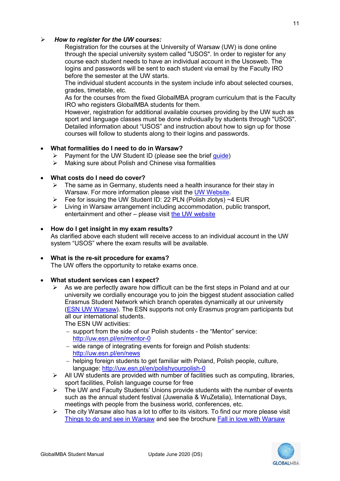#### *How to register for the UW courses:*   $\blacktriangleright$

 through the special university system called "USOS". In order to register for any logins and passwords will be sent to each student via email by the Faculty IRO Registration for the courses at the University of Warsaw (UW) is done online course each student needs to have an individual account in the Usosweb. The before the semester at the UW starts.

The individual student accounts in the system include info about selected courses, grades, timetable, etc.

 As for the courses from the fixed GlobalMBA program curriculum that is the Faculty IRO who registers GlobalMBA students for them.

 However, registration for additional available courses providing by the UW such as sport and language classes must be done individually by students through "USOS". Detailed information about "USOS" and instruction about how to sign up for those courses will follow to students along to their logins and passwords.

#### • **What formalities do I need to do in Warsaw?**

- > Payment for the UW Student ID (please see the brief *guide*)
- $\triangleright$  Making sure about Polish and Chinese visa formalities

#### • **What costs do I need do cover?**

- $\triangleright$  The same as in Germany, students need a health insurance for their stay in Warsaw. For more information please visit the [UW Website.](http://welcome.uw.edu.pl/before-you-arrive/health-insurance/)
- $\triangleright$  Fee for issuing the UW Student ID: 22 PLN (Polish zlotys) ~4 EUR
- $\triangleright$  Living in Warsaw arrangement including accommodation, public transport, entertainment and other – please visit [the UW website](http://welcome.uw.edu.pl/during-your-stay/living-in-warsaw/)

#### • **How do I get insight in my exam results?**

As clarified above each student will receive access to an individual account in the UW system "USOS" where the exam results will be available.

#### • **What is the re-sit procedure for exams?**

The UW offers the opportunity to retake exams once.

#### • **What student services can I expect?**

 $\triangleright$  As we are perfectly aware how difficult can be the first steps in Poland and at our university we cordially encourage you to join the biggest student association called Erasmus Student Network which branch operates dynamically at our university [\(ESN UW Warsaw\)](http://uw.esn.pl/). The ESN supports not only Erasmus program participants but all our international students.

The ESN UW activities:

- − support from the side of our Polish students the "Mentor" service: http://uw.esn.pl/en/mentor-0
- \_\_ <u>http://uw.esn.pl/en/mentor-0</u><br>— wide range of integrating events for foreign and Polish students: http://uw.esn.pl/en/news
- \_\_ <u>http://uw.esn.pl/en/news</u><br>– helping foreign students to get familiar with Poland, Polish people, culture, language:<http://uw.esn.pl/en/polishyourpolish-0>
- $\triangleright$  All UW students are provided with number of facilities such as computing, libraries, sport facilities, Polish language course for free
- $\triangleright$  The UW and Faculty Students' Unions provide students with the number of events such as the annual student festival (Juwenalia & WuZetalia), International Days, meetings with people from the business world, conferences, etc.
- $\triangleright$  The city Warsaw also has a lot to offer to its visitors. To find our more please visit [Things to do and see in Warsaw](http://www.foreignersinpoland.com/things-to-do-in-warsaw/) and see the brochure [Fall in love with Warsaw](http://www.wz.uw.edu.pl/portaleFiles/5942-studenci-prz/Brochure_Fall_in_love_with_warsaw_2014.pdf)



**GLOBALMBA**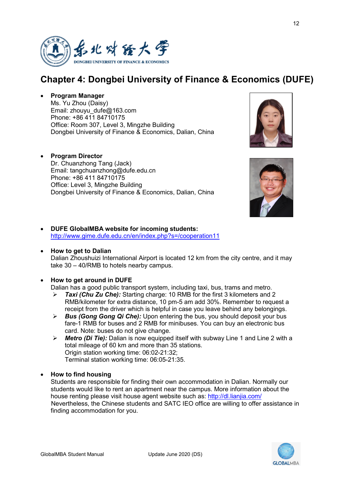

## <span id="page-11-0"></span>**Chapter 4: Dongbei University of Finance & Economics (DUFE)**

• **Program Manager**

Ms. Yu Zhou (Daisy) Email: [zhouyu\\_dufe@163.com](mailto:zhouyu_dufe@163.com)  Phone: +86 411 84710175 Office: Room 307, Level 3, Mingzhe Building Dongbei University of Finance & Economics, Dalian, China

#### • **Program Director**

Dr. Chuanzhong Tang (Jack) Email: tangchuanzhong@dufe.edu.cn Phone: +86 411 84710175 Office: Level 3, Mingzhe Building Dongbei University of Finance & Economics, Dalian, China





• **DUFE GlobalMBA website for incoming students:**  <http://www.gime.dufe.edu.cn/en/index.php?s=/cooperation11>

#### Dalian Zhoushuizi International Airport is located 12 km from the city centre, and it may • **How to get to Dalian** take 30 – 40/RMB to hotels nearby campus.

#### • **How to get around in DUFE**

Dalian has a good public transport system, including taxi, bus, trams and metro.

- *Taxi (Chu Zu Che):* Starting charge: 10 RMB for the first 3 kilometers and 2 RMB/kilometer for extra distance, 10 pm-5 am add 30%. Remember to request a receipt from the driver which is helpful in case you leave behind any belongings.
- fare-1 RMB for buses and 2 RMB for minibuses. You can buy an electronic bus *Bus (Gong Gong Qi Che):* Upon entering the bus, you should deposit your bus card. Note: buses do not give change.
- *Metro (Di Tie):* Dalian is now equipped itself with subway Line 1 and Line 2 with a total mileage of 60 km and more than 35 stations. Origin station working time: 06:02-21:32; Terminal station working time: 06:05-21:35.

#### • **How to find housing**

 Students are responsible for finding their own accommodation in Dalian. Normally our students would like to rent an apartment near the campus. More information about the house renting please visit house agent website such as:<http://dl.lianjia.com/> Nevertheless, the Chinese students and SATC IEO office are willing to offer assistance in finding accommodation for you.

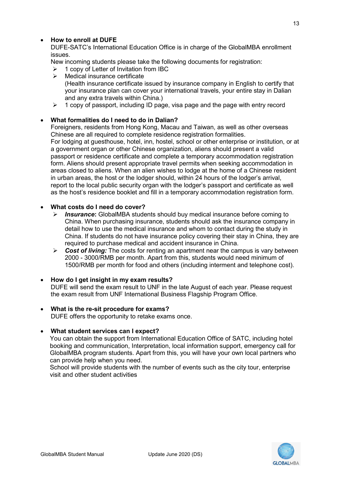#### • **How to enroll at DUFE**

 DUFE-SATC's International Education Office is in charge of the GlobalMBA enrollment issues.

New incoming students please take the following documents for registration:

- $\geq 1$  copy of Letter of Invitation from IBC
- $\triangleright$  Medical insurance certificate (Health insurance certificate issued by insurance company in English to certify that your insurance plan can cover your international travels, your entire stay in Dalian and any extra travels within China.)
- $\geq 1$  copy of passport, including ID page, visa page and the page with entry record

#### • **What formalities do I need to do in Dalian?**

 Chinese are all required to complete residence registration formalities. Foreigners, residents from Hong Kong, Macau and Taiwan, as well as other overseas For lodging at guesthouse, hotel, inn, hostel, school or other enterprise or institution, or at a government organ or other Chinese organization, aliens should present a valid passport or residence certificate and complete a temporary accommodation registration form. Aliens should present appropriate travel permits when seeking accommodation in

 in urban areas, the host or the lodger should, within 24 hours of the lodger's arrival, areas closed to aliens. When an alien wishes to lodge at the home of a Chinese resident report to the local public security organ with the lodger's passport and certificate as well as the host's residence booklet and fill in a temporary accommodation registration form.

#### • **What costs do I need do cover?**

- *Insurance***:** GlobalMBA students should buy medical insurance before coming to China. When purchasing insurance, students should ask the insurance company in detail how to use the medical insurance and whom to contact during the study in China. If students do not have insurance policy covering their stay in China, they are required to purchase medical and accident insurance in China.
- *Cost of living:* The costs for renting an apartment near the campus is vary between 2000 - 3000/RMB per month. Apart from this, students would need minimum of 1500/RMB per month for food and others (including interment and telephone cost).

#### • **How do I get insight in my exam results?**

 the exam result from UNF International Business Flagship Program Office. DUFE will send the exam result to UNF in the late August of each year. Please request

#### • **What is the re-sit procedure for exams?**

DUFE offers the opportunity to retake exams once.

#### • **What student services can I expect?**

 booking and communication, Interpretation, local information support, emergency call for GlobalMBA program students. Apart from this, you will have your own local partners who You can obtain the support from International Education Office of SATC, including hotel can provide help when you need.

 School will provide students with the number of events such as the city tour, enterprise visit and other student activities

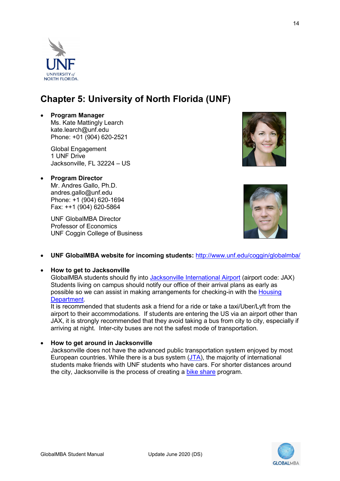## <span id="page-13-0"></span>**Chapter 5: University of North Florida (UNF)**

#### • **Program Manager**

Ms. Kate Mattingly Learch [kate.learch@unf.edu](mailto:kate.learch@unf.edu)  Phone: +01 (904) 620-2521

Global Engagement 1 UNF Drive Jacksonville, FL 32224 – US

• **Program Director** Mr. Andres Gallo, Ph.D. [andres.gallo@unf.edu](mailto:andres.gallo@unf.edu)  Phone: +1 (904) 620-1694 Fax: ++1 (904) 620-5864

> UNF GlobalMBA Director Professor of Economics UNF Coggin College of Business

• **UNF GlobalMBA website for incoming students:** <http://www.unf.edu/coggin/globalmba/>

#### • **How to get to Jacksonville**

GlobalMBA students should fly into [Jacksonville International Airport](http://www.flyjacksonville.com/Home.aspx) (airport code: JAX) Students living on campus should notify our office of their arrival plans as early as possible so we can assist in making arrangements for checking-in with the [Housing](http://housing.unf.edu/)  [Department.](http://housing.unf.edu/)

It is recommended that students ask a friend for a ride or take a taxi/Uber/Lyft from the airport to their accommodations. If students are entering the US via an airport other than JAX, it is strongly recommended that they avoid taking a bus from city to city, especially if arriving at night. Inter-city buses are not the safest mode of transportation.

• **How to get around in Jacksonville** 

Jacksonville does not have the advanced public transportation system enjoyed by most European countries. While there is a bus system [\(JTA\)](http://www.jtafla.com/), the majority of international students make friends with UNF students who have cars. For shorter distances around the city, Jacksonville is the process of creating a [bike share](https://www.thejaxsonmag.com/article/bike-share-program-proposed-for-jacksonville/) program.







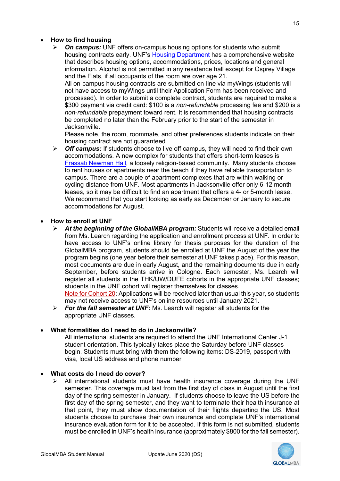#### • **How to find housing**

 information. Alcohol is not permitted in any residence hall except for Osprey Village and the Flats, if all occupants of the room are over age 21. *On campus:* UNF offers on-campus housing options for students who submit housing contracts early. UNF'[s Housing Department](https://www.unf.edu/housing/) has a comprehensive website that describes housing options, accommodations, prices, locations and general

 processed). In order to submit a complete contract, students are required to make a All on-campus housing contracts are submitted on-line via myWings (students will not have access to myWings until their Application Form has been received and \$300 payment via credit card: \$100 is a *non-refundable* processing fee and \$200 is a *non-refundable* prepayment toward rent. It is recommended that housing contracts be completed no later than the February prior to the start of the semester in Jacksonville.

Please note, the room, roommate, and other preferences students indicate on their housing contract are not guaranteed.

 [Frassati Newman Hall,](https://www.frassatihall.com/) a loosely religion-based community. Many students choose We recommend that you start looking as early as December or January to secure *Off campus:* If students choose to live off campus, they will need to find their own accommodations. A new complex for students that offers short-term leases is to rent houses or apartments near the beach if they have reliable transportation to campus. There are a couple of apartment complexes that are within walking or cycling distance from UNF. Most apartments in Jacksonville offer only 6-12 month leases, so it may be difficult to find an apartment that offers a 4- or 5-month lease. accommodations for August.

#### • **How to enroll at UNF**

 from Ms. Learch regarding the application and enrollment process at UNF. In order to have access to UNF's online library for thesis purposes for the duration of the GlobalMBA program, students should be enrolled at UNF the August of the year the most documents are due in early August, and the remaining documents due in early *At the beginning of the GlobalMBA program:* Students will receive a detailed email program begins (one year before their semester at UNF takes place). For this reason, September, before students arrive in Cologne. Each semester, Ms. Learch will register all students in the THK/UW/DUFE cohorts in the appropriate UNF classes; students in the UNF cohort will register themselves for classes.

Note for Cohort 20: Applications will be received later than usual this year, so students may not receive access to UNF's online resources until January 2021.

 *For the fall semester at UNF:* Ms. Learch will register all students for the appropriate UNF classes.

#### • **What formalities do I need to do in Jacksonville?**

 student orientation. This typically takes place the Saturday before UNF classes All international students are required to attend the UNF International Center J-1 begin. Students must bring with them the following items: DS-2019, passport with visa, local US address and phone number

#### • **What costs do I need do cover?**

 semester. This coverage must last from the first day of class in August until the first day of the spring semester in January. If students choose to leave the US before the first day of the spring semester, and they want to terminate their health insurance at that point, they must show documentation of their flights departing the US. Most insurance evaluation form for it to be accepted. If this form is not submitted, students must be enrolled in UNF's health insurance (approximately \$800 for the fall semester).  $\triangleright$  All international students must have health insurance coverage during the UNF students choose to purchase their own insurance and complete UNF's international